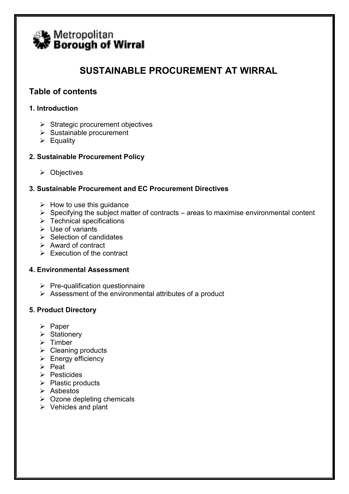

# SUSTAINABLE PROCUREMENT AT WIRRAL

# Table of contents

# 1. Introduction

- $\triangleright$  Strategic procurement objectives
- $\triangleright$  Sustainable procurement
- $\triangleright$  Equality

# 2. Sustainable Procurement Policy

 $\triangleright$  Objectives

# 3. Sustainable Procurement and EC Procurement Directives

- $\triangleright$  How to use this guidance
- $\triangleright$  Specifying the subject matter of contracts areas to maximise environmental content
- $\triangleright$  Technical specifications
- $\triangleright$  Use of variants
- $\triangleright$  Selection of candidates
- $\triangleright$  Award of contract
- $\triangleright$  Execution of the contract

# 4. Environmental Assessment

- $\triangleright$  Pre-qualification questionnaire
- $\triangleright$  Assessment of the environmental attributes of a product

# 5. Product Directory

- $\triangleright$  Paper
- $\triangleright$  Stationery
- $\triangleright$  Timber
- $\triangleright$  Cleaning products
- $\triangleright$  Energy efficiency
- $\triangleright$  Peat
- $\triangleright$  Pesticides
- $\triangleright$  Plastic products
- $\triangleright$  Asbestos
- $\triangleright$  Ozone depleting chemicals
- $\triangleright$  Vehicles and plant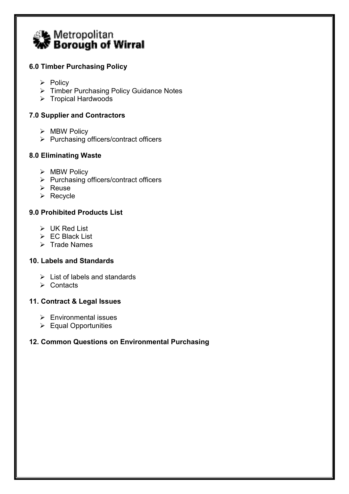

# 6.0 Timber Purchasing Policy

- $\triangleright$  Policy
- ▶ Timber Purchasing Policy Guidance Notes
- $\triangleright$  Tropical Hardwoods

# 7.0 Supplier and Contractors

- $\triangleright$  MBW Policy
- $\triangleright$  Purchasing officers/contract officers

# 8.0 Eliminating Waste

- $\triangleright$  MBW Policy
- $\triangleright$  Purchasing officers/contract officers
- $\triangleright$  Reuse
- $\triangleright$  Recycle

# 9.0 Prohibited Products List

- $\triangleright$  UK Red List
- $\triangleright$  EC Black List
- $\triangleright$  Trade Names

# 10. Labels and Standards

- $\geq$  List of labels and standards
- $\triangleright$  Contacts

# 11. Contract & Legal Issues

- $\triangleright$  Environmental issues
- Equal Opportunities

# 12. Common Questions on Environmental Purchasing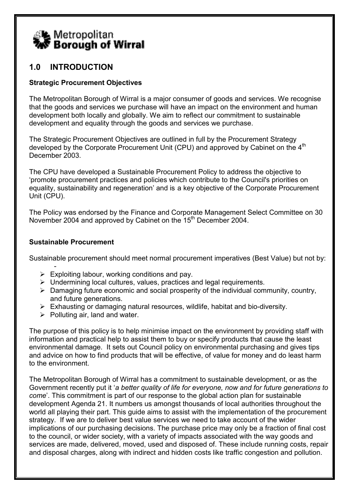

# 1.0 INTRODUCTION

# Strategic Procurement Objectives

The Metropolitan Borough of Wirral is a major consumer of goods and services. We recognise that the goods and services we purchase will have an impact on the environment and human development both locally and globally. We aim to reflect our commitment to sustainable development and equality through the goods and services we purchase.

The Strategic Procurement Objectives are outlined in full by the Procurement Strategy developed by the Corporate Procurement Unit (CPU) and approved by Cabinet on the 4<sup>th</sup> December 2003.

The CPU have developed a Sustainable Procurement Policy to address the objective to 'promote procurement practices and policies which contribute to the Council's priorities on equality, sustainability and regeneration' and is a key objective of the Corporate Procurement Unit (CPU).

The Policy was endorsed by the Finance and Corporate Management Select Committee on 30 November 2004 and approved by Cabinet on the 15<sup>th</sup> December 2004.

# Sustainable Procurement

Sustainable procurement should meet normal procurement imperatives (Best Value) but not by:

- $\triangleright$  Exploiting labour, working conditions and pay.
- $\triangleright$  Undermining local cultures, values, practices and legal requirements.
- $\triangleright$  Damaging future economic and social prosperity of the individual community, country, and future generations.
- $\triangleright$  Exhausting or damaging natural resources, wildlife, habitat and bio-diversity.
- $\triangleright$  Polluting air, land and water.

The purpose of this policy is to help minimise impact on the environment by providing staff with information and practical help to assist them to buy or specify products that cause the least environmental damage. It sets out Council policy on environmental purchasing and gives tips and advice on how to find products that will be effective, of value for money and do least harm to the environment.

The Metropolitan Borough of Wirral has a commitment to sustainable development, or as the Government recently put it 'a better quality of life for everyone, now and for future generations to come'. This commitment is part of our response to the global action plan for sustainable development Agenda 21. It numbers us amongst thousands of local authorities throughout the world all playing their part. This guide aims to assist with the implementation of the procurement strategy. If we are to deliver best value services we need to take account of the wider implications of our purchasing decisions. The purchase price may only be a fraction of final cost to the council, or wider society, with a variety of impacts associated with the way goods and services are made, delivered, moved, used and disposed of. These include running costs, repair and disposal charges, along with indirect and hidden costs like traffic congestion and pollution.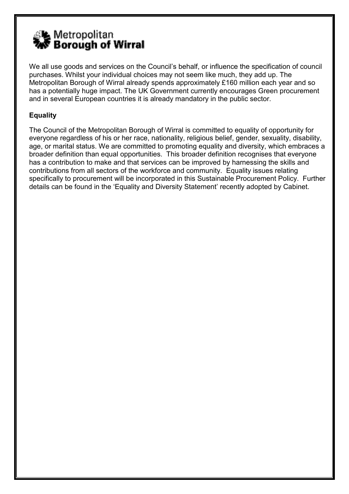

We all use goods and services on the Council's behalf, or influence the specification of council purchases. Whilst your individual choices may not seem like much, they add up. The Metropolitan Borough of Wirral already spends approximately £160 million each year and so has a potentially huge impact. The UK Government currently encourages Green procurement and in several European countries it is already mandatory in the public sector.

# Equality

The Council of the Metropolitan Borough of Wirral is committed to equality of opportunity for everyone regardless of his or her race, nationality, religious belief, gender, sexuality, disability, age, or marital status. We are committed to promoting equality and diversity, which embraces a broader definition than equal opportunities. This broader definition recognises that everyone has a contribution to make and that services can be improved by harnessing the skills and contributions from all sectors of the workforce and community. Equality issues relating specifically to procurement will be incorporated in this Sustainable Procurement Policy. Further details can be found in the 'Equality and Diversity Statement' recently adopted by Cabinet.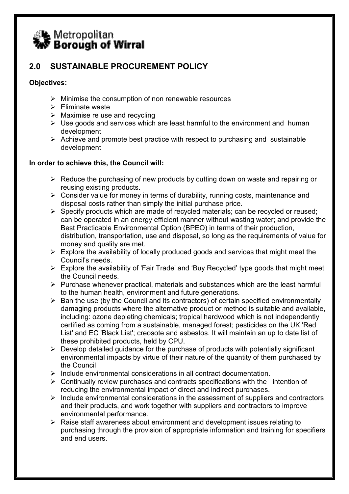

# 2.0 SUSTAINABLE PROCUREMENT POLICY

# Objectives:

- $\triangleright$  Minimise the consumption of non renewable resources
- $\triangleright$  Fliminate waste
- $\triangleright$  Maximise re use and recycling
- $\triangleright$  Use goods and services which are least harmful to the environment and human development
- $\triangleright$  Achieve and promote best practice with respect to purchasing and sustainable development

# In order to achieve this, the Council will:

- $\triangleright$  Reduce the purchasing of new products by cutting down on waste and repairing or reusing existing products.
- $\triangleright$  Consider value for money in terms of durability, running costs, maintenance and disposal costs rather than simply the initial purchase price.
- $\triangleright$  Specify products which are made of recycled materials; can be recycled or reused; can be operated in an energy efficient manner without wasting water; and provide the Best Practicable Environmental Option (BPEO) in terms of their production, distribution, transportation, use and disposal, so long as the requirements of value for money and quality are met.
- $\triangleright$  Explore the availability of locally produced goods and services that might meet the Council's needs.
- $\triangleright$  Explore the availability of 'Fair Trade' and 'Buy Recycled' type goods that might meet the Council needs.
- $\triangleright$  Purchase whenever practical, materials and substances which are the least harmful to the human health, environment and future generations.
- $\triangleright$  Ban the use (by the Council and its contractors) of certain specified environmentally damaging products where the alternative product or method is suitable and available, including: ozone depleting chemicals; tropical hardwood which is not independently certified as coming from a sustainable, managed forest; pesticides on the UK 'Red List' and EC 'Black List'; creosote and asbestos. It will maintain an up to date list of these prohibited products, held by CPU.
- $\triangleright$  Develop detailed guidance for the purchase of products with potentially significant environmental impacts by virtue of their nature of the quantity of them purchased by the Council
- $\triangleright$  Include environmental considerations in all contract documentation.
- $\triangleright$  Continually review purchases and contracts specifications with the intention of reducing the environmental impact of direct and indirect purchases.
- $\triangleright$  Include environmental considerations in the assessment of suppliers and contractors and their products, and work together with suppliers and contractors to improve environmental performance.
- $\triangleright$  Raise staff awareness about environment and development issues relating to purchasing through the provision of appropriate information and training for specifiers and end users.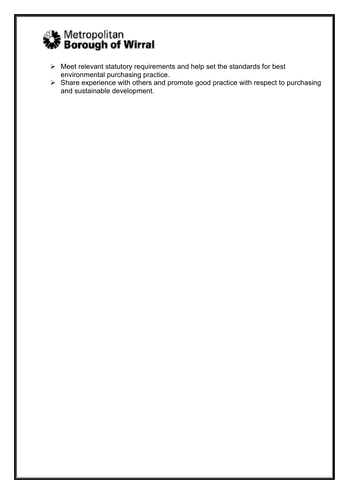

- $\triangleright$  Meet relevant statutory requirements and help set the standards for best environmental purchasing practice.
- $\triangleright$  Share experience with others and promote good practice with respect to purchasing and sustainable development.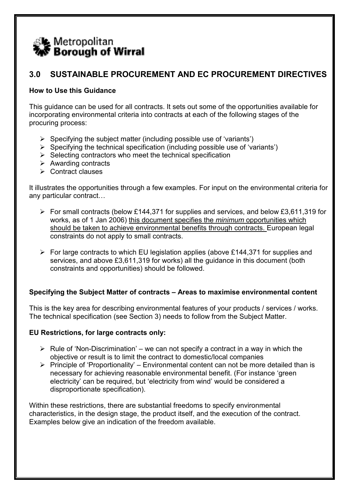

# 3.0 SUSTAINABLE PROCUREMENT AND EC PROCUREMENT DIRECTIVES

# How to Use this Guidance

This guidance can be used for all contracts. It sets out some of the opportunities available for incorporating environmental criteria into contracts at each of the following stages of the procuring process:

- $\triangleright$  Specifying the subject matter (including possible use of 'variants')
- $\triangleright$  Specifying the technical specification (including possible use of 'variants')
- $\triangleright$  Selecting contractors who meet the technical specification
- $\triangleright$  Awarding contracts
- $\triangleright$  Contract clauses

It illustrates the opportunities through a few examples. For input on the environmental criteria for any particular contract…

- $\triangleright$  For small contracts (below £144,371 for supplies and services, and below £3,611,319 for works, as of 1 Jan 2006) this document specifies the minimum opportunities which should be taken to achieve environmental benefits through contracts. European legal constraints do not apply to small contracts.
- $\triangleright$  For large contracts to which EU legislation applies (above £144,371 for supplies and services, and above £3,611,319 for works) all the guidance in this document (both constraints and opportunities) should be followed.

# Specifying the Subject Matter of contracts – Areas to maximise environmental content

This is the key area for describing environmental features of your products / services / works. The technical specification (see Section 3) needs to follow from the Subject Matter.

# EU Restrictions, for large contracts only:

- $\triangleright$  Rule of 'Non-Discrimination' we can not specify a contract in a way in which the objective or result is to limit the contract to domestic/local companies
- $\triangleright$  Principle of 'Proportionality' Environmental content can not be more detailed than is necessary for achieving reasonable environmental benefit. (For instance 'green electricity' can be required, but 'electricity from wind' would be considered a disproportionate specification).

Within these restrictions, there are substantial freedoms to specify environmental characteristics, in the design stage, the product itself, and the execution of the contract. Examples below give an indication of the freedom available.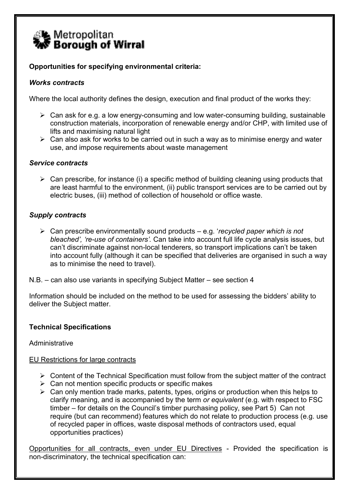

# Opportunities for specifying environmental criteria:

# Works contracts

Where the local authority defines the design, execution and final product of the works they:

- $\triangleright$  Can ask for e.g. a low energy-consuming and low water-consuming building, sustainable construction materials, incorporation of renewable energy and/or CHP, with limited use of lifts and maximising natural light
- $\triangleright$  Can also ask for works to be carried out in such a way as to minimise energy and water use, and impose requirements about waste management

#### Service contracts

 $\triangleright$  Can prescribe, for instance (i) a specific method of building cleaning using products that are least harmful to the environment, (ii) public transport services are to be carried out by electric buses, (iii) method of collection of household or office waste.

# Supply contracts

 $\triangleright$  Can prescribe environmentally sound products – e.g. 'recycled paper which is not bleached', 're-use of containers'. Can take into account full life cycle analysis issues, but can't discriminate against non-local tenderers, so transport implications can't be taken into account fully (although it can be specified that deliveries are organised in such a way as to minimise the need to travel).

N.B. – can also use variants in specifying Subject Matter – see section 4

Information should be included on the method to be used for assessing the bidders' ability to deliver the Subject matter.

# Technical Specifications

**Administrative** 

# EU Restrictions for large contracts

- $\triangleright$  Content of the Technical Specification must follow from the subject matter of the contract
- $\triangleright$  Can not mention specific products or specific makes
- $\triangleright$  Can only mention trade marks, patents, types, origins or production when this helps to clarify meaning, and is accompanied by the term or equivalent (e.g. with respect to FSC timber – for details on the Council's timber purchasing policy, see Part 5) Can not require (but can recommend) features which do not relate to production process (e.g. use of recycled paper in offices, waste disposal methods of contractors used, equal opportunities practices)

Opportunities for all contracts, even under EU Directives - Provided the specification is non-discriminatory, the technical specification can: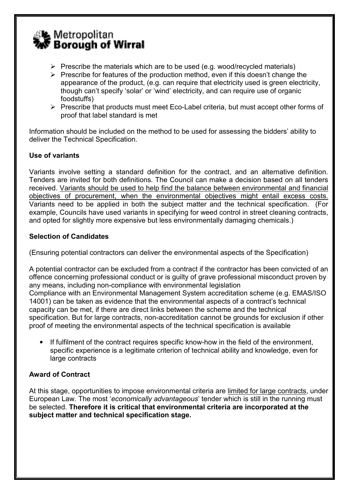

- $\triangleright$  Prescribe the materials which are to be used (e.g. wood/recycled materials)
- $\triangleright$  Prescribe for features of the production method, even if this doesn't change the appearance of the product, (e.g. can require that electricity used is green electricity, though can't specify 'solar' or 'wind' electricity, and can require use of organic foodstuffs)
- $\triangleright$  Prescribe that products must meet Eco-Label criteria, but must accept other forms of proof that label standard is met

Information should be included on the method to be used for assessing the bidders' ability to deliver the Technical Specification.

# Use of variants

Variants involve setting a standard definition for the contract, and an alternative definition. Tenders are invited for both definitions. The Council can make a decision based on all tenders received. Variants should be used to help find the balance between environmental and financial objectives of procurement, when the environmental objectives might entail excess costs. Variants need to be applied in both the subject matter and the technical specification. (For example, Councils have used variants in specifying for weed control in street cleaning contracts, and opted for slightly more expensive but less environmentally damaging chemicals.)

# Selection of Candidates

(Ensuring potential contractors can deliver the environmental aspects of the Specification)

A potential contractor can be excluded from a contract if the contractor has been convicted of an offence concerning professional conduct or is guilty of grave professional misconduct proven by any means, including non-compliance with environmental legislation Compliance with an Environmental Management System accreditation scheme (e.g. EMAS/ISO 14001) can be taken as evidence that the environmental aspects of a contract's technical capacity can be met, if there are direct links between the scheme and the technical specification. But for large contracts, non-accreditation cannot be grounds for exclusion if other proof of meeting the environmental aspects of the technical specification is available

• If fulfilment of the contract requires specific know-how in the field of the environment, specific experience is a legitimate criterion of technical ability and knowledge, even for large contracts

# Award of Contract

At this stage, opportunities to impose environmental criteria are limited for large contracts, under European Law. The most 'economically advantageous' tender which is still in the running must be selected. Therefore it is critical that environmental criteria are incorporated at the subject matter and technical specification stage.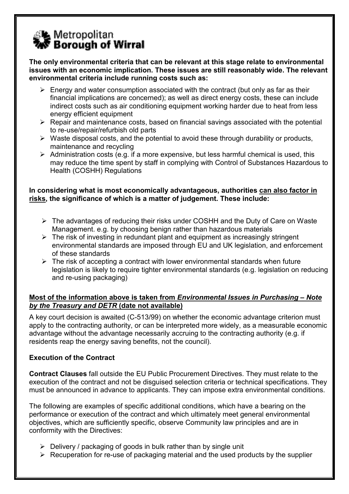

The only environmental criteria that can be relevant at this stage relate to environmental issues with an economic implication. These issues are still reasonably wide. The relevant environmental criteria include running costs such as:

- $\triangleright$  Energy and water consumption associated with the contract (but only as far as their financial implications are concerned); as well as direct energy costs, these can include indirect costs such as air conditioning equipment working harder due to heat from less energy efficient equipment
- $\triangleright$  Repair and maintenance costs, based on financial savings associated with the potential to re-use/repair/refurbish old parts
- $\triangleright$  Waste disposal costs, and the potential to avoid these through durability or products, maintenance and recycling
- $\triangleright$  Administration costs (e.g. if a more expensive, but less harmful chemical is used, this may reduce the time spent by staff in complying with Control of Substances Hazardous to Health (COSHH) Regulations

# In considering what is most economically advantageous, authorities can also factor in risks, the significance of which is a matter of judgement. These include:

- The advantages of reducing their risks under COSHH and the Duty of Care on Waste Management. e.g. by choosing benign rather than hazardous materials
- $\triangleright$  The risk of investing in redundant plant and equipment as increasingly stringent environmental standards are imposed through EU and UK legislation, and enforcement of these standards
- $\triangleright$  The risk of accepting a contract with lower environmental standards when future legislation is likely to require tighter environmental standards (e.g. legislation on reducing and re-using packaging)

# Most of the information above is taken from Environmental Issues in Purchasing – Note by the Treasury and DETR (date not available)

A key court decision is awaited (C-513/99) on whether the economic advantage criterion must apply to the contracting authority, or can be interpreted more widely, as a measurable economic advantage without the advantage necessarily accruing to the contracting authority (e.g. if residents reap the energy saving benefits, not the council).

# Execution of the Contract

Contract Clauses fall outside the EU Public Procurement Directives. They must relate to the execution of the contract and not be disguised selection criteria or technical specifications. They must be announced in advance to applicants. They can impose extra environmental conditions.

The following are examples of specific additional conditions, which have a bearing on the performance or execution of the contract and which ultimately meet general environmental objectives, which are sufficiently specific, observe Community law principles and are in conformity with the Directives:

- $\triangleright$  Delivery / packaging of goods in bulk rather than by single unit
- $\triangleright$  Recuperation for re-use of packaging material and the used products by the supplier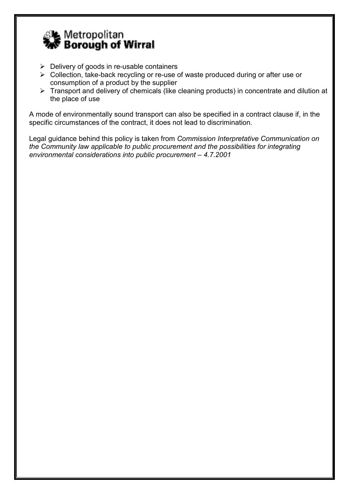

- $\triangleright$  Delivery of goods in re-usable containers
- Collection, take-back recycling or re-use of waste produced during or after use or consumption of a product by the supplier
- Fransport and delivery of chemicals (like cleaning products) in concentrate and dilution at the place of use

A mode of environmentally sound transport can also be specified in a contract clause if, in the specific circumstances of the contract, it does not lead to discrimination.

Legal guidance behind this policy is taken from Commission Interpretative Communication on the Community law applicable to public procurement and the possibilities for integrating environmental considerations into public procurement – 4.7.2001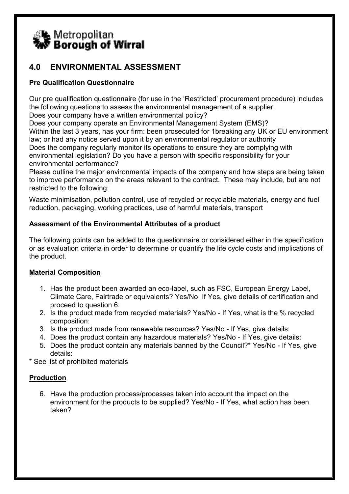

# 4.0 ENVIRONMENTAL ASSESSMENT

# Pre Qualification Questionnaire

Our pre qualification questionnaire (for use in the 'Restricted' procurement procedure) includes the following questions to assess the environmental management of a supplier.

Does your company have a written environmental policy?

Does your company operate an Environmental Management System (EMS)? Within the last 3 years, has your firm: been prosecuted for 1breaking any UK or EU environment law; or had any notice served upon it by an environmental regulator or authority Does the company regularly monitor its operations to ensure they are complying with environmental legislation? Do you have a person with specific responsibility for your environmental performance?

Please outline the major environmental impacts of the company and how steps are being taken to improve performance on the areas relevant to the contract. These may include, but are not restricted to the following:

Waste minimisation, pollution control, use of recycled or recyclable materials, energy and fuel reduction, packaging, working practices, use of harmful materials, transport

# Assessment of the Environmental Attributes of a product

The following points can be added to the questionnaire or considered either in the specification or as evaluation criteria in order to determine or quantify the life cycle costs and implications of the product.

# Material Composition

- 1. Has the product been awarded an eco-label, such as FSC, European Energy Label, Climate Care, Fairtrade or equivalents? Yes/No If Yes, give details of certification and proceed to question 6:
- 2. Is the product made from recycled materials? Yes/No If Yes, what is the % recycled composition:
- 3. Is the product made from renewable resources? Yes/No If Yes, give details:
- 4. Does the product contain any hazardous materials? Yes/No If Yes, give details:
- 5. Does the product contain any materials banned by the Council?\* Yes/No If Yes, give details:

\* See list of prohibited materials

# Production

6. Have the production process/processes taken into account the impact on the environment for the products to be supplied? Yes/No - If Yes, what action has been taken?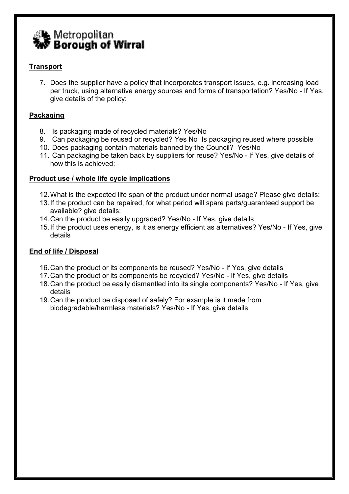

# **Transport**

7. Does the supplier have a policy that incorporates transport issues, e.g. increasing load per truck, using alternative energy sources and forms of transportation? Yes/No - If Yes, give details of the policy:

# Packaging

- 8. Is packaging made of recycled materials? Yes/No
- 9. Can packaging be reused or recycled? Yes No Is packaging reused where possible
- 10. Does packaging contain materials banned by the Council? Yes/No
- 11. Can packaging be taken back by suppliers for reuse? Yes/No If Yes, give details of how this is achieved:

# Product use / whole life cycle implications

- 12. What is the expected life span of the product under normal usage? Please give details:
- 13. If the product can be repaired, for what period will spare parts/guaranteed support be available? give details:
- 14. Can the product be easily upgraded? Yes/No If Yes, give details
- 15. If the product uses energy, is it as energy efficient as alternatives? Yes/No If Yes, give details

# End of life / Disposal

- 16. Can the product or its components be reused? Yes/No If Yes, give details
- 17. Can the product or its components be recycled? Yes/No If Yes, give details
- 18. Can the product be easily dismantled into its single components? Yes/No If Yes, give details
- 19. Can the product be disposed of safely? For example is it made from biodegradable/harmless materials? Yes/No - If Yes, give details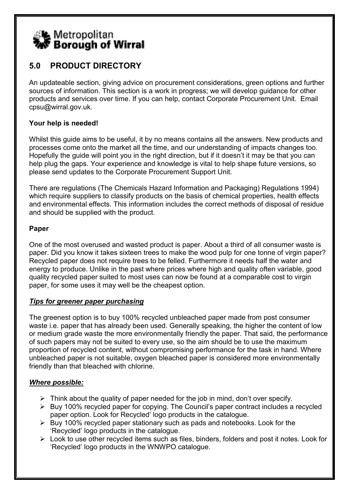

# 5.0 PRODUCT DIRECTORY

An updateable section, giving advice on procurement considerations, green options and further sources of information. This section is a work in progress; we will develop guidance for other products and services over time. If you can help, contact Corporate Procurement Unit. Email cpsu@wirral.gov.uk.

# Your help is needed!

Whilst this guide aims to be useful, it by no means contains all the answers. New products and processes come onto the market all the time, and our understanding of impacts changes too. Hopefully the guide will point you in the right direction, but if it doesn't it may be that you can help plug the gaps. Your experience and knowledge is vital to help shape future versions, so please send updates to the Corporate Procurement Support Unit.

There are regulations (The Chemicals Hazard Information and Packaging) Regulations 1994) which require suppliers to classify products on the basis of chemical properties, health effects and environmental effects. This information includes the correct methods of disposal of residue and should be supplied with the product.

# Paper

One of the most overused and wasted product is paper. About a third of all consumer waste is paper. Did you know it takes sixteen trees to make the wood pulp for one tonne of virgin paper? Recycled paper does not require trees to be felled. Furthermore it needs half the water and energy to produce. Unlike in the past where prices where high and quality often variable, good quality recycled paper suited to most uses can now be found at a comparable cost to virgin paper, for some uses it may well be the cheapest option.

# Tips for greener paper purchasing

The greenest option is to buy 100% recycled unbleached paper made from post consumer waste i.e. paper that has already been used. Generally speaking, the higher the content of low or medium grade waste the more environmentally friendly the paper. That said, the performance of such papers may not be suited to every use, so the aim should be to use the maximum proportion of recycled content, without compromising performance for the task in hand. Where unbleached paper is not suitable, oxygen bleached paper is considered more environmentally friendly than that bleached with chlorine.

# Where possible:

- $\triangleright$  Think about the quality of paper needed for the job in mind, don't over specify.
- $\triangleright$  Buy 100% recycled paper for copying. The Council's paper contract includes a recycled paper option. Look for Recycled' logo products in the catalogue.
- $\triangleright$  Buy 100% recycled paper stationary such as pads and notebooks. Look for the 'Recycled' logo products in the catalogue.
- $\triangleright$  Look to use other recycled items such as files, binders, folders and post it notes. Look for 'Recycled' logo products in the WNWPO catalogue.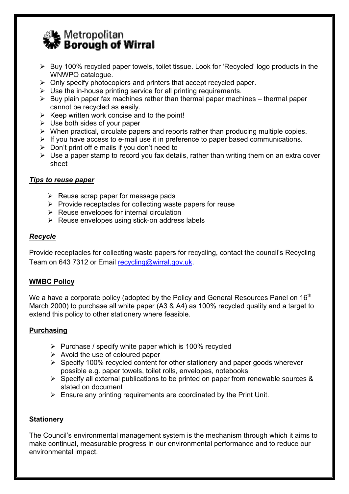

- ▶ Buy 100% recycled paper towels, toilet tissue. Look for 'Recycled' logo products in the WNWPO catalogue.
- $\triangleright$  Only specify photocopiers and printers that accept recycled paper.
- $\triangleright$  Use the in-house printing service for all printing requirements.
- $\triangleright$  Buy plain paper fax machines rather than thermal paper machines thermal paper cannot be recycled as easily.
- $\triangleright$  Keep written work concise and to the point!
- $\triangleright$  Use both sides of your paper
- $\triangleright$  When practical, circulate papers and reports rather than producing multiple copies.
- $\triangleright$  If you have access to e-mail use it in preference to paper based communications.
- $\triangleright$  Don't print off e mails if you don't need to
- $\triangleright$  Use a paper stamp to record you fax details, rather than writing them on an extra cover sheet

# Tips to reuse paper

- $\triangleright$  Reuse scrap paper for message pads
- $\triangleright$  Provide receptacles for collecting waste papers for reuse
- $\triangleright$  Reuse envelopes for internal circulation
- $\triangleright$  Reuse envelopes using stick-on address labels

# Recycle

Provide receptacles for collecting waste papers for recycling, contact the council's Recycling Team on 643 7312 or Email recycling@wirral.gov.uk.

# WMBC Policy

We a have a corporate policy (adopted by the Policy and General Resources Panel on  $16<sup>th</sup>$ March 2000) to purchase all white paper (A3 & A4) as 100% recycled quality and a target to extend this policy to other stationery where feasible.

# **Purchasing**

- $\triangleright$  Purchase / specify white paper which is 100% recycled
- $\triangleright$  Avoid the use of coloured paper
- $\triangleright$  Specify 100% recycled content for other stationery and paper goods wherever possible e.g. paper towels, toilet rolls, envelopes, notebooks
- $\triangleright$  Specify all external publications to be printed on paper from renewable sources & stated on document
- $\triangleright$  Ensure any printing requirements are coordinated by the Print Unit.

# **Stationery**

The Council's environmental management system is the mechanism through which it aims to make continual, measurable progress in our environmental performance and to reduce our environmental impact.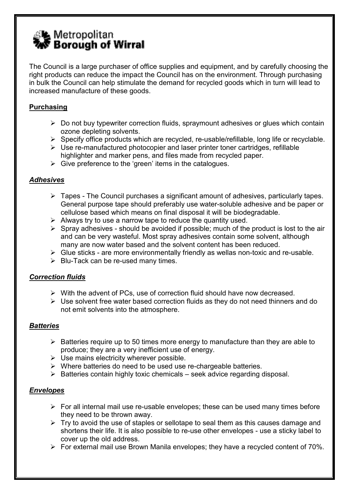

The Council is a large purchaser of office supplies and equipment, and by carefully choosing the right products can reduce the impact the Council has on the environment. Through purchasing in bulk the Council can help stimulate the demand for recycled goods which in turn will lead to increased manufacture of these goods.

# Purchasing

- $\triangleright$  Do not buy typewriter correction fluids, spraymount adhesives or glues which contain ozone depleting solvents.
- $\triangleright$  Specify office products which are recycled, re-usable/refillable, long life or recyclable.
- $\triangleright$  Use re-manufactured photocopier and laser printer toner cartridges, refillable highlighter and marker pens, and files made from recycled paper.
- $\triangleright$  Give preference to the 'green' items in the catalogues.

# Adhesives

- $\triangleright$  Tapes The Council purchases a significant amount of adhesives, particularly tapes. General purpose tape should preferably use water-soluble adhesive and be paper or cellulose based which means on final disposal it will be biodegradable.
- $\triangleright$  Always try to use a narrow tape to reduce the quantity used.
- $\triangleright$  Spray adhesives should be avoided if possible; much of the product is lost to the air and can be very wasteful. Most spray adhesives contain some solvent, although many are now water based and the solvent content has been reduced.
- $\triangleright$  Glue sticks are more environmentally friendly as wellas non-toxic and re-usable.
- $\triangleright$  Blu-Tack can be re-used many times.

# Correction fluids

- $\triangleright$  With the advent of PCs, use of correction fluid should have now decreased.
- $\triangleright$  Use solvent free water based correction fluids as they do not need thinners and do not emit solvents into the atmosphere.

# **Batteries**

- $\triangleright$  Batteries require up to 50 times more energy to manufacture than they are able to produce; they are a very inefficient use of energy.
- $\triangleright$  Use mains electricity wherever possible.
- $\triangleright$  Where batteries do need to be used use re-chargeable batteries.
- $\triangleright$  Batteries contain highly toxic chemicals seek advice regarding disposal.

# Envelopes

- $\triangleright$  For all internal mail use re-usable envelopes; these can be used many times before they need to be thrown away.
- $\triangleright$  Try to avoid the use of staples or sellotape to seal them as this causes damage and shortens their life. It is also possible to re-use other envelopes - use a sticky label to cover up the old address.
- $\triangleright$  For external mail use Brown Manila envelopes; they have a recycled content of 70%.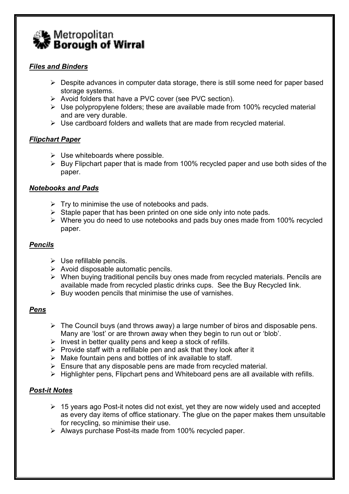

# Files and Binders

- $\triangleright$  Despite advances in computer data storage, there is still some need for paper based storage systems.
- ▶ Avoid folders that have a PVC cover (see PVC section).
- $\triangleright$  Use polypropylene folders; these are available made from 100% recycled material and are very durable.
- $\triangleright$  Use cardboard folders and wallets that are made from recycled material.

# Flipchart Paper

- $\triangleright$  Use whiteboards where possible.
- $\triangleright$  Buy Flipchart paper that is made from 100% recycled paper and use both sides of the paper.

# Notebooks and Pads

- $\triangleright$  Try to minimise the use of notebooks and pads.
- $\triangleright$  Staple paper that has been printed on one side only into note pads.
- $\triangleright$  Where you do need to use notebooks and pads buy ones made from 100% recycled paper.

# Pencils

- $\triangleright$  Use refillable pencils.
- $\triangleright$  Avoid disposable automatic pencils.
- $\triangleright$  When buying traditional pencils buy ones made from recycled materials. Pencils are available made from recycled plastic drinks cups. See the Buy Recycled link.
- $\triangleright$  Buy wooden pencils that minimise the use of varnishes.

# Pens

- $\triangleright$  The Council buys (and throws away) a large number of biros and disposable pens. Many are 'lost' or are thrown away when they begin to run out or 'blob'.
- $\triangleright$  Invest in better quality pens and keep a stock of refills.
- $\triangleright$  Provide staff with a refillable pen and ask that they look after it
- $\triangleright$  Make fountain pens and bottles of ink available to staff.
- $\triangleright$  Ensure that any disposable pens are made from recycled material.
- $\triangleright$  Highlighter pens, Flipchart pens and Whiteboard pens are all available with refills.

# Post-it Notes

- $\geq 15$  years ago Post-it notes did not exist, yet they are now widely used and accepted as every day items of office stationary. The glue on the paper makes them unsuitable for recycling, so minimise their use.
- $\triangleright$  Always purchase Post-its made from 100% recycled paper.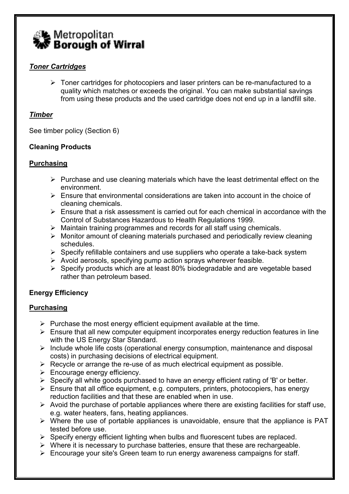

# Toner Cartridges

 $\triangleright$  Toner cartridges for photocopiers and laser printers can be re-manufactured to a quality which matches or exceeds the original. You can make substantial savings from using these products and the used cartridge does not end up in a landfill site.

# Timber

See timber policy (Section 6)

# Cleaning Products

# **Purchasing**

- $\triangleright$  Purchase and use cleaning materials which have the least detrimental effect on the environment.
- $\triangleright$  Ensure that environmental considerations are taken into account in the choice of cleaning chemicals.
- $\triangleright$  Ensure that a risk assessment is carried out for each chemical in accordance with the Control of Substances Hazardous to Health Regulations 1999.
- $\triangleright$  Maintain training programmes and records for all staff using chemicals.
- $\triangleright$  Monitor amount of cleaning materials purchased and periodically review cleaning schedules.
- $\triangleright$  Specify refillable containers and use suppliers who operate a take-back system
- $\triangleright$  Avoid aerosols, specifying pump action sprays wherever feasible.
- $\triangleright$  Specify products which are at least 80% biodegradable and are vegetable based rather than petroleum based.

# Energy Efficiency

# Purchasing

- $\triangleright$  Purchase the most energy efficient equipment available at the time.
- $\triangleright$  Ensure that all new computer equipment incorporates energy reduction features in line with the US Energy Star Standard.
- $\triangleright$  Include whole life costs (operational energy consumption, maintenance and disposal costs) in purchasing decisions of electrical equipment.
- $\triangleright$  Recycle or arrange the re-use of as much electrical equipment as possible.
- $\triangleright$  Encourage energy efficiency.
- $\triangleright$  Specify all white goods purchased to have an energy efficient rating of 'B' or better.
- $\triangleright$  Ensure that all office equipment, e.g. computers, printers, photocopiers, has energy reduction facilities and that these are enabled when in use.
- $\triangleright$  Avoid the purchase of portable appliances where there are existing facilities for staff use, e.g. water heaters, fans, heating appliances.
- $\triangleright$  Where the use of portable appliances is unavoidable, ensure that the appliance is PAT tested before use.
- $\triangleright$  Specify energy efficient lighting when bulbs and fluorescent tubes are replaced.
- $\triangleright$  Where it is necessary to purchase batteries, ensure that these are rechargeable.
- $\triangleright$  Encourage your site's Green team to run energy awareness campaigns for staff.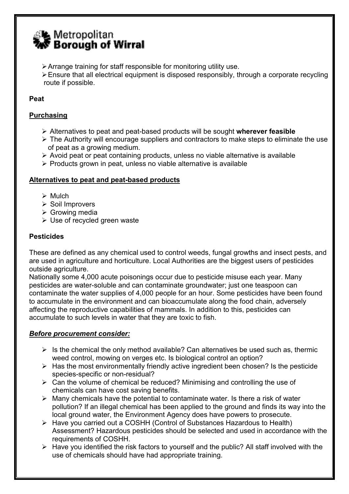# **A** Metropolitan<br>S Borough of Wirral

- $\triangleright$  Arrange training for staff responsible for monitoring utility use.
- $\ge$  Ensure that all electrical equipment is disposed responsibly, through a corporate recycling route if possible.

# Peat

# Purchasing

- $\triangleright$  Alternatives to peat and peat-based products will be sought wherever feasible
- $\triangleright$  The Authority will encourage suppliers and contractors to make steps to eliminate the use of peat as a growing medium.
- $\triangleright$  Avoid peat or peat containing products, unless no viable alternative is available
- $\triangleright$  Products grown in peat, unless no viable alternative is available

# Alternatives to peat and peat-based products

- $\triangleright$  Mulch
- $\triangleright$  Soil Improvers
- $\triangleright$  Growing media
- $\triangleright$  Use of recycled green waste

# **Pesticides**

These are defined as any chemical used to control weeds, fungal growths and insect pests, and are used in agriculture and horticulture. Local Authorities are the biggest users of pesticides outside agriculture.

Nationally some 4,000 acute poisonings occur due to pesticide misuse each year. Many pesticides are water-soluble and can contaminate groundwater; just one teaspoon can contaminate the water supplies of 4,000 people for an hour. Some pesticides have been found to accumulate in the environment and can bioaccumulate along the food chain, adversely affecting the reproductive capabilities of mammals. In addition to this, pesticides can accumulate to such levels in water that they are toxic to fish.

# Before procurement consider:

- $\triangleright$  Is the chemical the only method available? Can alternatives be used such as, thermic weed control, mowing on verges etc. Is biological control an option?
- $\triangleright$  Has the most environmentally friendly active ingredient been chosen? Is the pesticide species-specific or non-residual?
- $\triangleright$  Can the volume of chemical be reduced? Minimising and controlling the use of chemicals can have cost saving benefits.
- $\triangleright$  Many chemicals have the potential to contaminate water. Is there a risk of water pollution? If an illegal chemical has been applied to the ground and finds its way into the local ground water, the Environment Agency does have powers to prosecute.
- Have you carried out a COSHH (Control of Substances Hazardous to Health) Assessment? Hazardous pesticides should be selected and used in accordance with the requirements of COSHH.
- $\triangleright$  Have you identified the risk factors to yourself and the public? All staff involved with the use of chemicals should have had appropriate training.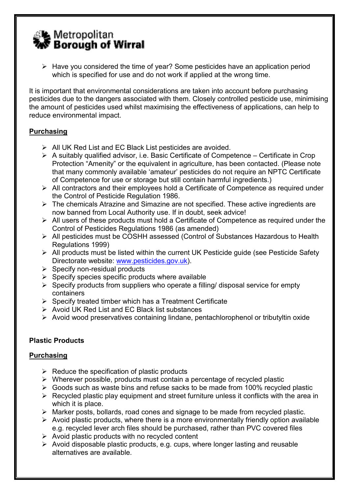# L Metropolitan<br>▼ Borough of Wirral

 $\triangleright$  Have you considered the time of year? Some pesticides have an application period which is specified for use and do not work if applied at the wrong time.

It is important that environmental considerations are taken into account before purchasing pesticides due to the dangers associated with them. Closely controlled pesticide use, minimising the amount of pesticides used whilst maximising the effectiveness of applications, can help to reduce environmental impact.

# **Purchasing**

- $\triangleright$  All UK Red List and EC Black List pesticides are avoided.
- $\triangleright$  A suitably qualified advisor, i.e. Basic Certificate of Competence Certificate in Crop Protection "Amenity" or the equivalent in agriculture, has been contacted. (Please note that many commonly available 'amateur' pesticides do not require an NPTC Certificate of Competence for use or storage but still contain harmful ingredients.)
- $\triangleright$  All contractors and their employees hold a Certificate of Competence as required under the Control of Pesticide Regulation 1986.
- $\triangleright$  The chemicals Atrazine and Simazine are not specified. These active ingredients are now banned from Local Authority use. If in doubt, seek advice!
- $\triangleright$  All users of these products must hold a Certificate of Competence as required under the Control of Pesticides Regulations 1986 (as amended)
- All pesticides must be COSHH assessed (Control of Substances Hazardous to Health Regulations 1999)
- $\triangleright$  All products must be listed within the current UK Pesticide guide (see Pesticide Safety Directorate website: www.pesticides.gov.uk).
- $\triangleright$  Specify non-residual products
- $\triangleright$  Specify species specific products where available
- $\triangleright$  Specify products from suppliers who operate a filling/ disposal service for empty containers
- $\triangleright$  Specify treated timber which has a Treatment Certificate
- $\triangleright$  Avoid UK Red List and EC Black list substances
- Avoid wood preservatives containing lindane, pentachlorophenol or tributyltin oxide

# Plastic Products

# Purchasing

- $\triangleright$  Reduce the specification of plastic products
- $\triangleright$  Wherever possible, products must contain a percentage of recycled plastic
- $\triangleright$  Goods such as waste bins and refuse sacks to be made from 100% recycled plastic
- $\triangleright$  Recycled plastic play equipment and street furniture unless it conflicts with the area in which it is place.
- $\triangleright$  Marker posts, bollards, road cones and signage to be made from recycled plastic.
- $\triangleright$  Avoid plastic products, where there is a more environmentally friendly option available e.g. recycled lever arch files should be purchased, rather than PVC covered files
- $\triangleright$  Avoid plastic products with no recycled content
- $\triangleright$  Avoid disposable plastic products, e.g. cups, where longer lasting and reusable alternatives are available.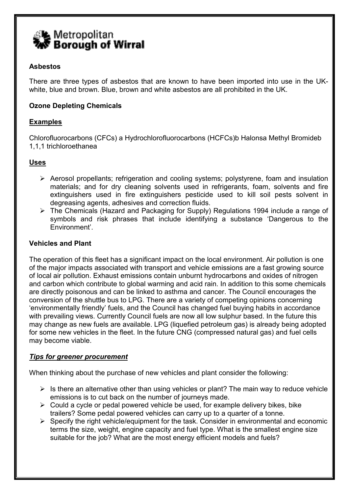

# Asbestos

There are three types of asbestos that are known to have been imported into use in the UKwhite, blue and brown. Blue, brown and white asbestos are all prohibited in the UK.

# Ozone Depleting Chemicals

# Examples

Chlorofluorocarbons (CFCs) a Hydrochlorofluorocarbons (HCFCs)b Halonsa Methyl Bromideb 1,1,1 trichloroethanea

# Uses

- Aerosol propellants; refrigeration and cooling systems; polystyrene, foam and insulation materials; and for dry cleaning solvents used in refrigerants, foam, solvents and fire extinguishers used in fire extinguishers pesticide used to kill soil pests solvent in degreasing agents, adhesives and correction fluids.
- The Chemicals (Hazard and Packaging for Supply) Regulations 1994 include a range of symbols and risk phrases that include identifying a substance 'Dangerous to the Environment'.

#### Vehicles and Plant

The operation of this fleet has a significant impact on the local environment. Air pollution is one of the major impacts associated with transport and vehicle emissions are a fast growing source of local air pollution. Exhaust emissions contain unburnt hydrocarbons and oxides of nitrogen and carbon which contribute to global warming and acid rain. In addition to this some chemicals are directly poisonous and can be linked to asthma and cancer. The Council encourages the conversion of the shuttle bus to LPG. There are a variety of competing opinions concerning 'environmentally friendly' fuels, and the Council has changed fuel buying habits in accordance with prevailing views. Currently Council fuels are now all low sulphur based. In the future this may change as new fuels are available. LPG (liquefied petroleum gas) is already being adopted for some new vehicles in the fleet. In the future CNG (compressed natural gas) and fuel cells may become viable.

# Tips for greener procurement

When thinking about the purchase of new vehicles and plant consider the following:

- $\triangleright$  Is there an alternative other than using vehicles or plant? The main way to reduce vehicle emissions is to cut back on the number of journeys made.
- $\triangleright$  Could a cycle or pedal powered vehicle be used, for example delivery bikes, bike trailers? Some pedal powered vehicles can carry up to a quarter of a tonne.
- $\triangleright$  Specify the right vehicle/equipment for the task. Consider in environmental and economic terms the size, weight, engine capacity and fuel type. What is the smallest engine size suitable for the job? What are the most energy efficient models and fuels?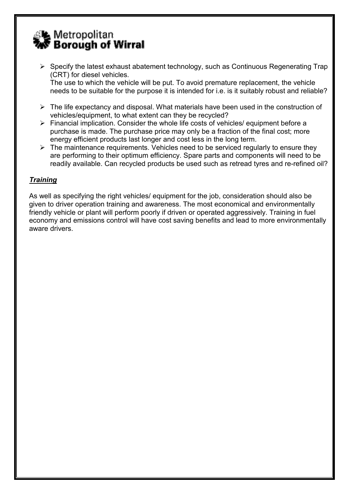

 $\triangleright$  Specify the latest exhaust abatement technology, such as Continuous Regenerating Trap (CRT) for diesel vehicles.

 The use to which the vehicle will be put. To avoid premature replacement, the vehicle needs to be suitable for the purpose it is intended for i.e. is it suitably robust and reliable?

- $\triangleright$  The life expectancy and disposal. What materials have been used in the construction of vehicles/equipment, to what extent can they be recycled?
- $\triangleright$  Financial implication. Consider the whole life costs of vehicles/ equipment before a purchase is made. The purchase price may only be a fraction of the final cost; more energy efficient products last longer and cost less in the long term.
- $\triangleright$  The maintenance requirements. Vehicles need to be serviced regularly to ensure they are performing to their optimum efficiency. Spare parts and components will need to be readily available. Can recycled products be used such as retread tyres and re-refined oil?

# **Training**

As well as specifying the right vehicles/ equipment for the job, consideration should also be given to driver operation training and awareness. The most economical and environmentally friendly vehicle or plant will perform poorly if driven or operated aggressively. Training in fuel economy and emissions control will have cost saving benefits and lead to more environmentally aware drivers.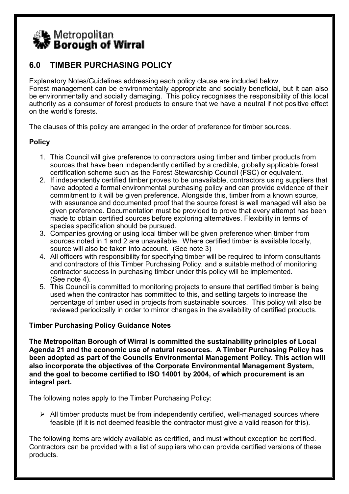

# 6.0 TIMBER PURCHASING POLICY

Explanatory Notes/Guidelines addressing each policy clause are included below. Forest management can be environmentally appropriate and socially beneficial, but it can also be environmentally and socially damaging. This policy recognises the responsibility of this local authority as a consumer of forest products to ensure that we have a neutral if not positive effect on the world's forests.

The clauses of this policy are arranged in the order of preference for timber sources.

# **Policy**

- 1. This Council will give preference to contractors using timber and timber products from sources that have been independently certified by a credible, globally applicable forest certification scheme such as the Forest Stewardship Council (FSC) or equivalent.
- 2. If independently certified timber proves to be unavailable, contractors using suppliers that have adopted a formal environmental purchasing policy and can provide evidence of their commitment to it will be given preference. Alongside this, timber from a known source, with assurance and documented proof that the source forest is well managed will also be given preference. Documentation must be provided to prove that every attempt has been made to obtain certified sources before exploring alternatives. Flexibility in terms of species specification should be pursued.
- 3. Companies growing or using local timber will be given preference when timber from sources noted in 1 and 2 are unavailable. Where certified timber is available locally, source will also be taken into account. (See note 3)
- 4. All officers with responsibility for specifying timber will be required to inform consultants and contractors of this Timber Purchasing Policy, and a suitable method of monitoring contractor success in purchasing timber under this policy will be implemented. (See note 4).
- 5. This Council is committed to monitoring projects to ensure that certified timber is being used when the contractor has committed to this, and setting targets to increase the percentage of timber used in projects from sustainable sources. This policy will also be reviewed periodically in order to mirror changes in the availability of certified products.

# Timber Purchasing Policy Guidance Notes

The Metropolitan Borough of Wirral is committed the sustainability principles of Local Agenda 21 and the economic use of natural resources. A Timber Purchasing Policy has been adopted as part of the Councils Environmental Management Policy. This action will also incorporate the objectives of the Corporate Environmental Management System, and the goal to become certified to ISO 14001 by 2004, of which procurement is an integral part.

The following notes apply to the Timber Purchasing Policy:

 $\triangleright$  All timber products must be from independently certified, well-managed sources where feasible (if it is not deemed feasible the contractor must give a valid reason for this).

The following items are widely available as certified, and must without exception be certified. Contractors can be provided with a list of suppliers who can provide certified versions of these products.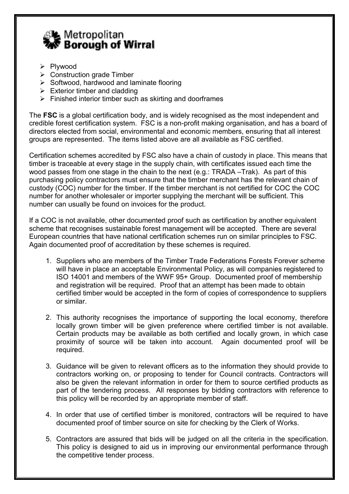

- > Plywood
- $\triangleright$  Construction grade Timber
- $\triangleright$  Softwood, hardwood and laminate flooring
- $\triangleright$  Exterior timber and cladding
- $\triangleright$  Finished interior timber such as skirting and doorframes

The **FSC** is a global certification body, and is widely recognised as the most independent and credible forest certification system. FSC is a non-profit making organisation, and has a board of directors elected from social, environmental and economic members, ensuring that all interest groups are represented. The items listed above are all available as FSC certified.

Certification schemes accredited by FSC also have a chain of custody in place. This means that timber is traceable at every stage in the supply chain, with certificates issued each time the wood passes from one stage in the chain to the next (e.g.: TRADA –Trak). As part of this purchasing policy contractors must ensure that the timber merchant has the relevant chain of custody (COC) number for the timber. If the timber merchant is not certified for COC the COC number for another wholesaler or importer supplying the merchant will be sufficient. This number can usually be found on invoices for the product.

If a COC is not available, other documented proof such as certification by another equivalent scheme that recognises sustainable forest management will be accepted. There are several European countries that have national certification schemes run on similar principles to FSC. Again documented proof of accreditation by these schemes is required.

- 1. Suppliers who are members of the Timber Trade Federations Forests Forever scheme will have in place an acceptable Environmental Policy, as will companies registered to ISO 14001 and members of the WWF 95+ Group. Documented proof of membership and registration will be required. Proof that an attempt has been made to obtain certified timber would be accepted in the form of copies of correspondence to suppliers or similar.
- 2. This authority recognises the importance of supporting the local economy, therefore locally grown timber will be given preference where certified timber is not available. Certain products may be available as both certified and locally grown, in which case proximity of source will be taken into account. Again documented proof will be required.
- 3. Guidance will be given to relevant officers as to the information they should provide to contractors working on, or proposing to tender for Council contracts. Contractors will also be given the relevant information in order for them to source certified products as part of the tendering process. All responses by bidding contractors with reference to this policy will be recorded by an appropriate member of staff.
- 4. In order that use of certified timber is monitored, contractors will be required to have documented proof of timber source on site for checking by the Clerk of Works.
- 5. Contractors are assured that bids will be judged on all the criteria in the specification. This policy is designed to aid us in improving our environmental performance through the competitive tender process.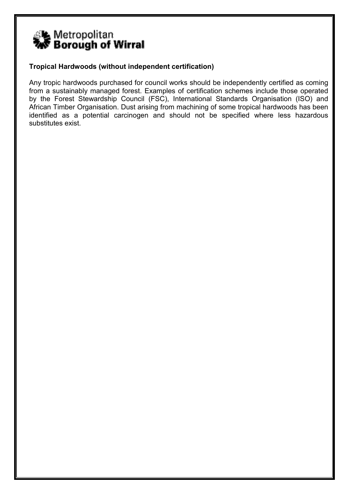

# Tropical Hardwoods (without independent certification)

Any tropic hardwoods purchased for council works should be independently certified as coming from a sustainably managed forest. Examples of certification schemes include those operated by the Forest Stewardship Council (FSC), International Standards Organisation (ISO) and African Timber Organisation. Dust arising from machining of some tropical hardwoods has been identified as a potential carcinogen and should not be specified where less hazardous substitutes exist.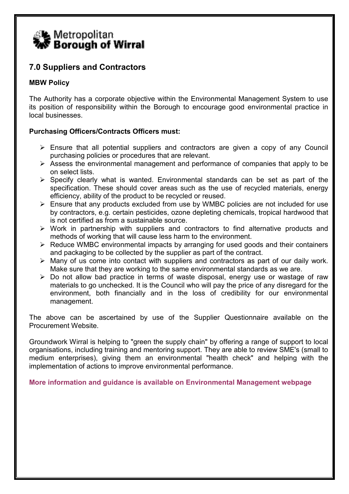

# 7.0 Suppliers and Contractors

# MBW Policy

The Authority has a corporate objective within the Environmental Management System to use its position of responsibility within the Borough to encourage good environmental practice in local businesses.

# Purchasing Officers/Contracts Officers must:

- $\triangleright$  Ensure that all potential suppliers and contractors are given a copy of any Council purchasing policies or procedures that are relevant.
- $\triangleright$  Assess the environmental management and performance of companies that apply to be on select lists.
- $\triangleright$  Specify clearly what is wanted. Environmental standards can be set as part of the specification. These should cover areas such as the use of recycled materials, energy efficiency, ability of the product to be recycled or reused.
- $\triangleright$  Ensure that any products excluded from use by WMBC policies are not included for use by contractors, e.g. certain pesticides, ozone depleting chemicals, tropical hardwood that is not certified as from a sustainable source.
- $\triangleright$  Work in partnership with suppliers and contractors to find alternative products and methods of working that will cause less harm to the environment.
- $\triangleright$  Reduce WMBC environmental impacts by arranging for used goods and their containers and packaging to be collected by the supplier as part of the contract.
- $\triangleright$  Many of us come into contact with suppliers and contractors as part of our daily work. Make sure that they are working to the same environmental standards as we are.
- $\triangleright$  Do not allow bad practice in terms of waste disposal, energy use or wastage of raw materials to go unchecked. It is the Council who will pay the price of any disregard for the environment, both financially and in the loss of credibility for our environmental management.

The above can be ascertained by use of the Supplier Questionnaire available on the Procurement Website.

Groundwork Wirral is helping to "green the supply chain" by offering a range of support to local organisations, including training and mentoring support. They are able to review SME's (small to medium enterprises), giving them an environmental "health check" and helping with the implementation of actions to improve environmental performance.

More information and guidance is available on Environmental Management webpage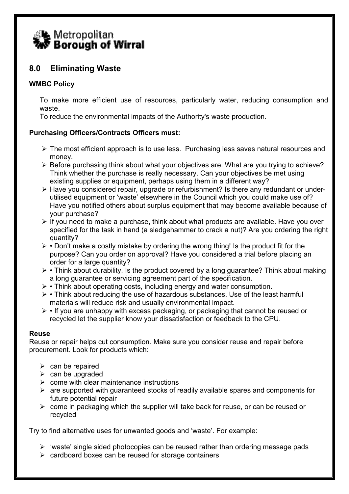

# 8.0 Eliminating Waste

# WMBC Policy

To make more efficient use of resources, particularly water, reducing consumption and waste.

To reduce the environmental impacts of the Authority's waste production.

# Purchasing Officers/Contracts Officers must:

- $\triangleright$  The most efficient approach is to use less. Purchasing less saves natural resources and money.
- $\triangleright$  Before purchasing think about what your objectives are. What are you trying to achieve? Think whether the purchase is really necessary. Can your objectives be met using existing supplies or equipment, perhaps using them in a different way?
- ► Have you considered repair, upgrade or refurbishment? Is there any redundant or underutilised equipment or 'waste' elsewhere in the Council which you could make use of? Have you notified others about surplus equipment that may become available because of your purchase?
- $\triangleright$  If you need to make a purchase, think about what products are available. Have you over specified for the task in hand (a sledgehammer to crack a nut)? Are you ordering the right quantity?
- $\triangleright$   $\cdot$  Don't make a costly mistake by ordering the wrong thing! Is the product fit for the purpose? Can you order on approval? Have you considered a trial before placing an order for a large quantity?
- $\triangleright$  Think about durability. Is the product covered by a long guarantee? Think about making a long guarantee or servicing agreement part of the specification.
- $\triangleright$  Think about operating costs, including energy and water consumption.
- $\triangleright$   $\cdot$  Think about reducing the use of hazardous substances. Use of the least harmful materials will reduce risk and usually environmental impact.
- $\triangleright$   $\cdot$  If you are unhappy with excess packaging, or packaging that cannot be reused or recycled let the supplier know your dissatisfaction or feedback to the CPU.

# Reuse

Reuse or repair helps cut consumption. Make sure you consider reuse and repair before procurement. Look for products which:

- $\triangleright$  can be repaired
- $\triangleright$  can be upgraded
- $\triangleright$  come with clear maintenance instructions
- $\triangleright$  are supported with quaranteed stocks of readily available spares and components for future potential repair
- $\triangleright$  come in packaging which the supplier will take back for reuse, or can be reused or recycled

Try to find alternative uses for unwanted goods and 'waste'. For example:

- $\triangleright$  'waste' single sided photocopies can be reused rather than ordering message pads
- $\triangleright$  cardboard boxes can be reused for storage containers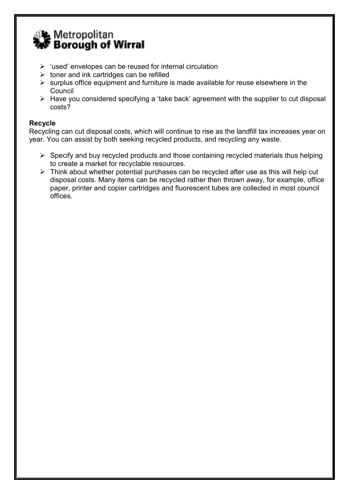

- $\triangleright$  'used' envelopes can be reused for internal circulation
- $\triangleright$  toner and ink cartridges can be refilled
- $\triangleright$  surplus office equipment and furniture is made available for reuse elsewhere in the Council
- $\triangleright$  Have you considered specifying a 'take back' agreement with the supplier to cut disposal costs?

# Recycle

Recycling can cut disposal costs, which will continue to rise as the landfill tax increases year on year. You can assist by both seeking recycled products, and recycling any waste.

- $\triangleright$  Specify and buy recycled products and those containing recycled materials thus helping to create a market for recyclable resources.
- $\triangleright$  Think about whether potential purchases can be recycled after use as this will help cut disposal costs. Many items can be recycled rather then thrown away, for example, office paper, printer and copier cartridges and fluorescent tubes are collected in most council offices.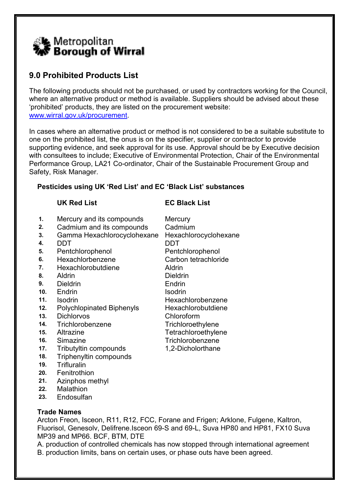

# 9.0 Prohibited Products List

The following products should not be purchased, or used by contractors working for the Council, where an alternative product or method is available. Suppliers should be advised about these 'prohibited' products, they are listed on the procurement website: www.wirral.gov.uk/procurement.

In cases where an alternative product or method is not considered to be a suitable substitute to one on the prohibited list, the onus is on the specifier, supplier or contractor to provide supporting evidence, and seek approval for its use. Approval should be by Executive decision with consultees to include; Executive of Environmental Protection, Chair of the Environmental Performance Group, LA21 Co-ordinator, Chair of the Sustainable Procurement Group and Safety, Risk Manager.

# Pesticides using UK 'Red List' and EC 'Black List' substances

# UK Red List EC Black List

- 1. Mercury and its compounds Mercury
- 2. Cadmium and its compounds Cadmium
- 3. Gamma Hexachlorocyclohexane Hexachlorocyclohexane
- 4. DDT DDT
- 5. Pentchlorophenol Pentchlorophenol
- 6. Hexachlorbenzene Carbon tetrachloride
- 7. Hexachlorobutdiene Aldrin
- 8. Aldrin Dieldrin
- 9. Dieldrin Endrin Endrin
- 10. Endrin Isodrin Isodrin
- 
- 12. Polychlopinated Biphenyls Hexachlorobutdiene
- 13. Dichlorvos Chloroform
- 14. Trichlorobenzene Trichloroethylene
- 
- 
- 17. Tributyltin compounds 1,2-Dicholorthane
- 18. Triphenyltin compounds
- 19. Trifluralin
- 20. Fenitrothion
- 21. Azinphos methyl
- 22. Malathion
- 23. Endosulfan
- 11. Isodrin **Hexachlorobenzene**
- 15. Altrazine Tetrachloroethylene 16. Simazine **Trichlorobenzene** 
	-

# Trade Names

Arcton Freon, Isceon, R11, R12, FCC, Forane and Frigen; Arklone, Fulgene, Kaltron, Fluorisol, Genesolv, Delifrene.Isceon 69-S and 69-L, Suva HP80 and HP81, FX10 Suva MP39 and MP66. BCF, BTM, DTE

A. production of controlled chemicals has now stopped through international agreement B. production limits, bans on certain uses, or phase outs have been agreed.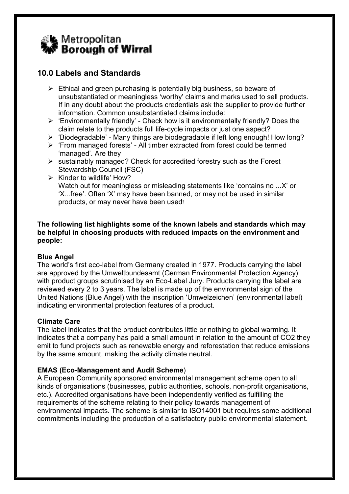

# 10.0 Labels and Standards

- $\triangleright$  Ethical and green purchasing is potentially big business, so beware of unsubstantiated or meaningless 'worthy' claims and marks used to sell products. If in any doubt about the products credentials ask the supplier to provide further information. Common unsubstantiated claims include:
- $\triangleright$  'Environmentally friendly' Check how is it environmentally friendly? Does the claim relate to the products full life-cycle impacts or just one aspect?
- $\triangleright$  'Biodegradable' Many things are biodegradable if left long enough! How long?
- > 'From managed forests' All timber extracted from forest could be termed 'managed'. Are they
- $\triangleright$  sustainably managed? Check for accredited forestry such as the Forest Stewardship Council (FSC)
- $\triangleright$  Kinder to wildlife' How? Watch out for meaningless or misleading statements like 'contains no ...X' or 'X...free'. Often 'X' may have been banned, or may not be used in similar products, or may never have been used!

#### The following list highlights some of the known labels and standards which may be helpful in choosing products with reduced impacts on the environment and people:

# Blue Angel

The world's first eco-label from Germany created in 1977. Products carrying the label are approved by the Umweltbundesamt (German Environmental Protection Agency) with product groups scrutinised by an Eco-Label Jury. Products carrying the label are reviewed every 2 to 3 years. The label is made up of the environmental sign of the United Nations (Blue Angel) with the inscription 'Umwelzeichen' (environmental label) indicating environmental protection features of a product.

# Climate Care

The label indicates that the product contributes little or nothing to global warming. It indicates that a company has paid a small amount in relation to the amount of CO2 they emit to fund projects such as renewable energy and reforestation that reduce emissions by the same amount, making the activity climate neutral.

# EMAS (Eco-Management and Audit Scheme)

A European Community sponsored environmental management scheme open to all kinds of organisations (businesses, public authorities, schools, non-profit organisations, etc.). Accredited organisations have been independently verified as fulfilling the requirements of the scheme relating to their policy towards management of environmental impacts. The scheme is similar to ISO14001 but requires some additional commitments including the production of a satisfactory public environmental statement.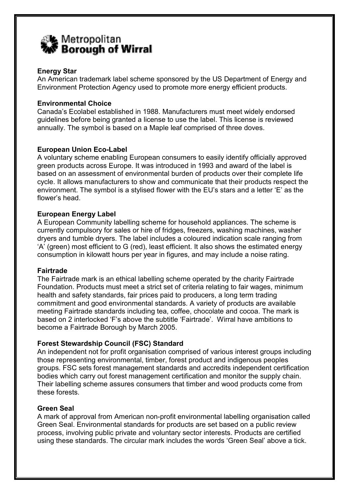

# Energy Star

An American trademark label scheme sponsored by the US Department of Energy and Environment Protection Agency used to promote more energy efficient products.

#### Environmental Choice

Canada's Ecolabel established in 1988. Manufacturers must meet widely endorsed guidelines before being granted a license to use the label. This license is reviewed annually. The symbol is based on a Maple leaf comprised of three doves.

# European Union Eco-Label

A voluntary scheme enabling European consumers to easily identify officially approved green products across Europe. It was introduced in 1993 and award of the label is based on an assessment of environmental burden of products over their complete life cycle. It allows manufacturers to show and communicate that their products respect the environment. The symbol is a stylised flower with the EU's stars and a letter 'E' as the flower's head.

# European Energy Label

A European Community labelling scheme for household appliances. The scheme is currently compulsory for sales or hire of fridges, freezers, washing machines, washer dryers and tumble dryers. The label includes a coloured indication scale ranging from 'A' (green) most efficient to G (red), least efficient. It also shows the estimated energy consumption in kilowatt hours per year in figures, and may include a noise rating.

#### Fairtrade

The Fairtrade mark is an ethical labelling scheme operated by the charity Fairtrade Foundation. Products must meet a strict set of criteria relating to fair wages, minimum health and safety standards, fair prices paid to producers, a long term trading commitment and good environmental standards. A variety of products are available meeting Fairtrade standards including tea, coffee, chocolate and cocoa. The mark is based on 2 interlocked 'F's above the subtitle 'Fairtrade'. Wirral have ambitions to become a Fairtrade Borough by March 2005.

# Forest Stewardship Council (FSC) Standard

An independent not for profit organisation comprised of various interest groups including those representing environmental, timber, forest product and indigenous peoples groups. FSC sets forest management standards and accredits independent certification bodies which carry out forest management certification and monitor the supply chain. Their labelling scheme assures consumers that timber and wood products come from these forests.

# Green Seal

A mark of approval from American non-profit environmental labelling organisation called Green Seal. Environmental standards for products are set based on a public review process, involving public private and voluntary sector interests. Products are certified using these standards. The circular mark includes the words 'Green Seal' above a tick.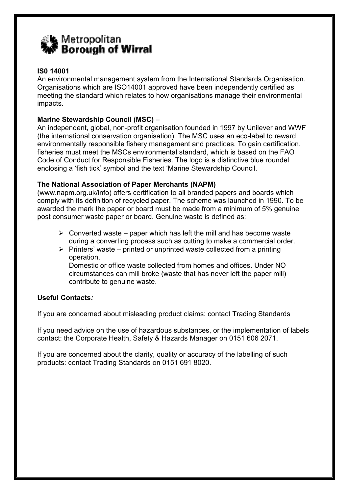

# IS0 14001

An environmental management system from the International Standards Organisation. Organisations which are ISO14001 approved have been independently certified as meeting the standard which relates to how organisations manage their environmental impacts.

# Marine Stewardship Council (MSC) –

An independent, global, non-profit organisation founded in 1997 by Unilever and WWF (the international conservation organisation). The MSC uses an eco-label to reward environmentally responsible fishery management and practices. To gain certification, fisheries must meet the MSCs environmental standard, which is based on the FAO Code of Conduct for Responsible Fisheries. The logo is a distinctive blue roundel enclosing a 'fish tick' symbol and the text 'Marine Stewardship Council.

# The National Association of Paper Merchants (NAPM)

(www.napm.org.uk/info) offers certification to all branded papers and boards which comply with its definition of recycled paper. The scheme was launched in 1990. To be awarded the mark the paper or board must be made from a minimum of 5% genuine post consumer waste paper or board. Genuine waste is defined as:

- $\triangleright$  Converted waste paper which has left the mill and has become waste during a converting process such as cutting to make a commercial order.
- $\triangleright$  Printers' waste printed or unprinted waste collected from a printing operation.

 Domestic or office waste collected from homes and offices. Under NO circumstances can mill broke (waste that has never left the paper mill) contribute to genuine waste.

# Useful Contacts:

If you are concerned about misleading product claims: contact Trading Standards

If you need advice on the use of hazardous substances, or the implementation of labels contact: the Corporate Health, Safety & Hazards Manager on 0151 606 2071.

If you are concerned about the clarity, quality or accuracy of the labelling of such products: contact Trading Standards on 0151 691 8020.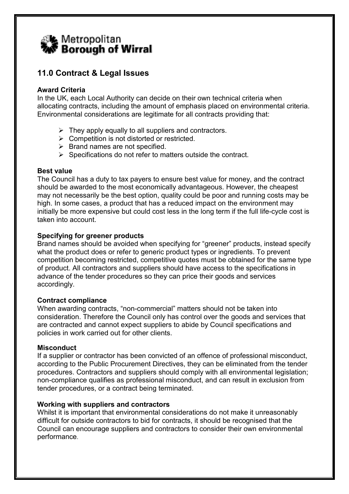# Letropolitan �� Borough of Wirral

# 11.0 Contract & Legal Issues

# Award Criteria

In the UK, each Local Authority can decide on their own technical criteria when allocating contracts, including the amount of emphasis placed on environmental criteria. Environmental considerations are legitimate for all contracts providing that:

- $\triangleright$  They apply equally to all suppliers and contractors.
- $\triangleright$  Competition is not distorted or restricted.
- $\triangleright$  Brand names are not specified.
- $\triangleright$  Specifications do not refer to matters outside the contract.

# Best value

The Council has a duty to tax payers to ensure best value for money, and the contract should be awarded to the most economically advantageous. However, the cheapest may not necessarily be the best option, quality could be poor and running costs may be high. In some cases, a product that has a reduced impact on the environment may initially be more expensive but could cost less in the long term if the full life-cycle cost is taken into account.

# Specifying for greener products

Brand names should be avoided when specifying for "greener" products, instead specify what the product does or refer to generic product types or ingredients. To prevent competition becoming restricted, competitive quotes must be obtained for the same type of product. All contractors and suppliers should have access to the specifications in advance of the tender procedures so they can price their goods and services accordingly.

# Contract compliance

When awarding contracts, "non-commercial" matters should not be taken into consideration. Therefore the Council only has control over the goods and services that are contracted and cannot expect suppliers to abide by Council specifications and policies in work carried out for other clients.

# **Misconduct**

If a supplier or contractor has been convicted of an offence of professional misconduct, according to the Public Procurement Directives, they can be eliminated from the tender procedures. Contractors and suppliers should comply with all environmental legislation; non-compliance qualifies as professional misconduct, and can result in exclusion from tender procedures, or a contract being terminated.

# Working with suppliers and contractors

Whilst it is important that environmental considerations do not make it unreasonably difficult for outside contractors to bid for contracts, it should be recognised that the Council can encourage suppliers and contractors to consider their own environmental performance.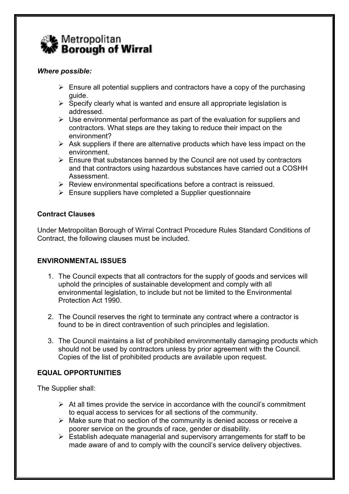

# Where possible:

- $\triangleright$  Ensure all potential suppliers and contractors have a copy of the purchasing guide.
- $\triangleright$  Specify clearly what is wanted and ensure all appropriate legislation is addressed.
- $\triangleright$  Use environmental performance as part of the evaluation for suppliers and contractors. What steps are they taking to reduce their impact on the environment?
- $\triangleright$  Ask suppliers if there are alternative products which have less impact on the environment.
- $\triangleright$  Ensure that substances banned by the Council are not used by contractors and that contractors using hazardous substances have carried out a COSHH Assessment.
- $\triangleright$  Review environmental specifications before a contract is reissued.
- $\triangleright$  Ensure suppliers have completed a Supplier questionnaire

# Contract Clauses

Under Metropolitan Borough of Wirral Contract Procedure Rules Standard Conditions of Contract, the following clauses must be included.

# ENVIRONMENTAL ISSUES

- 1. The Council expects that all contractors for the supply of goods and services will uphold the principles of sustainable development and comply with all environmental legislation, to include but not be limited to the Environmental Protection Act 1990.
- 2. The Council reserves the right to terminate any contract where a contractor is found to be in direct contravention of such principles and legislation.
- 3. The Council maintains a list of prohibited environmentally damaging products which should not be used by contractors unless by prior agreement with the Council. Copies of the list of prohibited products are available upon request.

# EQUAL OPPORTUNITIES

The Supplier shall:

- $\triangleright$  At all times provide the service in accordance with the council's commitment to equal access to services for all sections of the community.
- $\triangleright$  Make sure that no section of the community is denied access or receive a poorer service on the grounds of race, gender or disability.
- $\triangleright$  Establish adequate managerial and supervisory arrangements for staff to be made aware of and to comply with the council's service delivery objectives.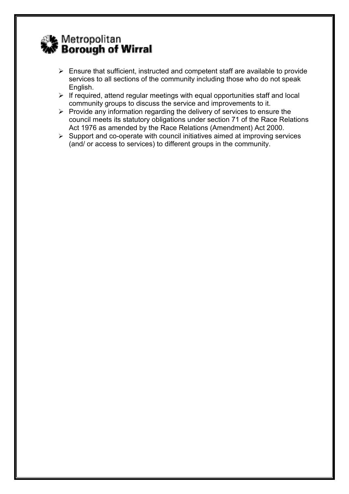# ୁ୍ା≰ Metropolitan<br>**?w Borough of Wirral**

- $\triangleright$  Ensure that sufficient, instructed and competent staff are available to provide services to all sections of the community including those who do not speak English.
- $\triangleright$  If required, attend regular meetings with equal opportunities staff and local community groups to discuss the service and improvements to it.
- $\triangleright$  Provide any information regarding the delivery of services to ensure the council meets its statutory obligations under section 71 of the Race Relations Act 1976 as amended by the Race Relations (Amendment) Act 2000.
- $\triangleright$  Support and co-operate with council initiatives aimed at improving services (and/ or access to services) to different groups in the community.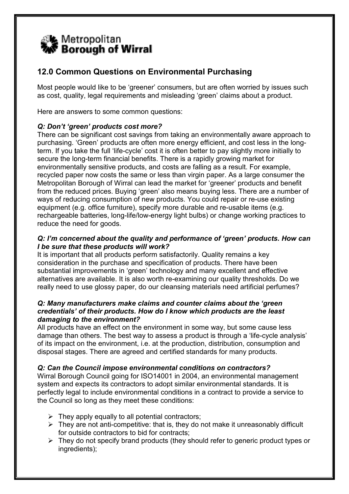

# 12.0 Common Questions on Environmental Purchasing

Most people would like to be 'greener' consumers, but are often worried by issues such as cost, quality, legal requirements and misleading 'green' claims about a product.

Here are answers to some common questions:

# Q: Don't 'green' products cost more?

There can be significant cost savings from taking an environmentally aware approach to purchasing. 'Green' products are often more energy efficient, and cost less in the longterm. If you take the full 'life-cycle' cost it is often better to pay slightly more initially to secure the long-term financial benefits. There is a rapidly growing market for environmentally sensitive products, and costs are falling as a result. For example, recycled paper now costs the same or less than virgin paper. As a large consumer the Metropolitan Borough of Wirral can lead the market for 'greener' products and benefit from the reduced prices. Buying 'green' also means buying less. There are a number of ways of reducing consumption of new products. You could repair or re-use existing equipment (e.g. office furniture), specify more durable and re-usable items (e.g. rechargeable batteries, long-life/low-energy light bulbs) or change working practices to reduce the need for goods.

# Q: I'm concerned about the quality and performance of 'green' products. How can I be sure that these products will work?

It is important that all products perform satisfactorily. Quality remains a key consideration in the purchase and specification of products. There have been substantial improvements in 'green' technology and many excellent and effective alternatives are available. It is also worth re-examining our quality thresholds. Do we really need to use glossy paper, do our cleansing materials need artificial perfumes?

#### Q: Many manufacturers make claims and counter claims about the 'green credentials' of their products. How do I know which products are the least damaging to the environment?

All products have an effect on the environment in some way, but some cause less damage than others. The best way to assess a product is through a 'life-cycle analysis' of its impact on the environment, i.e. at the production, distribution, consumption and disposal stages. There are agreed and certified standards for many products.

# Q: Can the Council impose environmental conditions on contractors?

Wirral Borough Council going for ISO14001 in 2004, an environmental management system and expects its contractors to adopt similar environmental standards. It is perfectly legal to include environmental conditions in a contract to provide a service to the Council so long as they meet these conditions:

- $\triangleright$  They apply equally to all potential contractors;
- $\triangleright$  They are not anti-competitive: that is, they do not make it unreasonably difficult for outside contractors to bid for contracts;
- $\triangleright$  They do not specify brand products (they should refer to generic product types or ingredients);